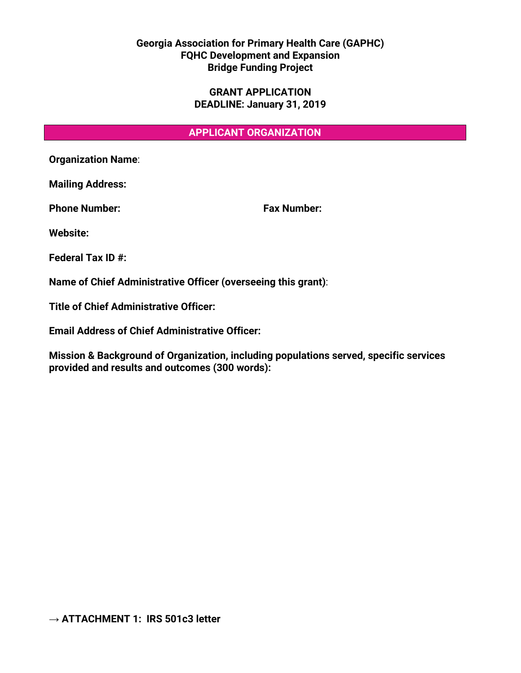## **Georgia Association for Primary Health Care (GAPHC) FQHC Development and Expansion Bridge Funding Project**

### **GRANT APPLICATION DEADLINE: January 31, 2019**

### **APPLICANT ORGANIZATION**

**Organization Name**:

**Mailing Address:** 

**Phone Number: Fax Number:**

**Website:**

**Federal Tax ID #:**

**Name of Chief Administrative Officer (overseeing this grant)**:

**Title of Chief Administrative Officer:** 

**Email Address of Chief Administrative Officer:** 

**Mission & Background of Organization, including populations served, specific services provided and results and outcomes (300 words):**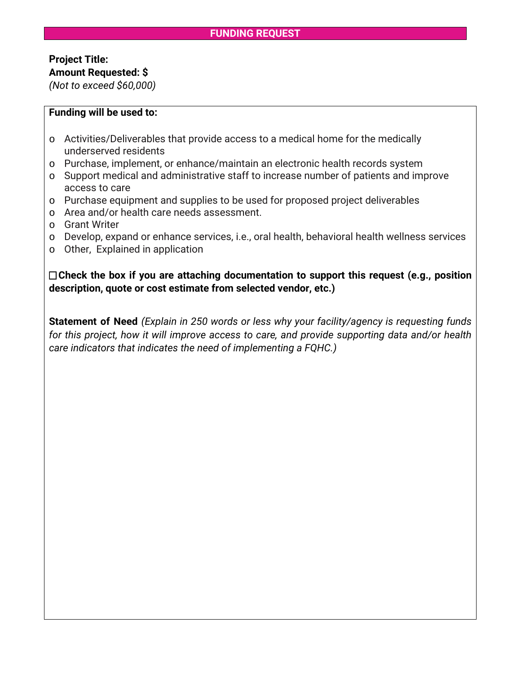## **FUNDING REQUEST**

# **Project Title: Amount Requested: \$**

*(Not to exceed \$60,000)*

#### **Funding will be used to:**

- o Activities/Deliverables that provide access to a medical home for the medically underserved residents
- o Purchase, implement, or enhance/maintain an electronic health records system
- o Support medical and administrative staff to increase number of patients and improve access to care
- o Purchase equipment and supplies to be used for proposed project deliverables
- o Area and/or health care needs assessment.
- o Grant Writer
- o Develop, expand or enhance services, i.e., oral health, behavioral health wellness services
- o Other, Explained in application

 **Check the box if you are attaching documentation to support this request (e.g., position description, quote or cost estimate from selected vendor, etc.)**

**Statement of Need** *(Explain in 250 words or less why your facility/agency is requesting funds for this project, how it will improve access to care, and provide supporting data and/or health care indicators that indicates the need of implementing a FQHC.)*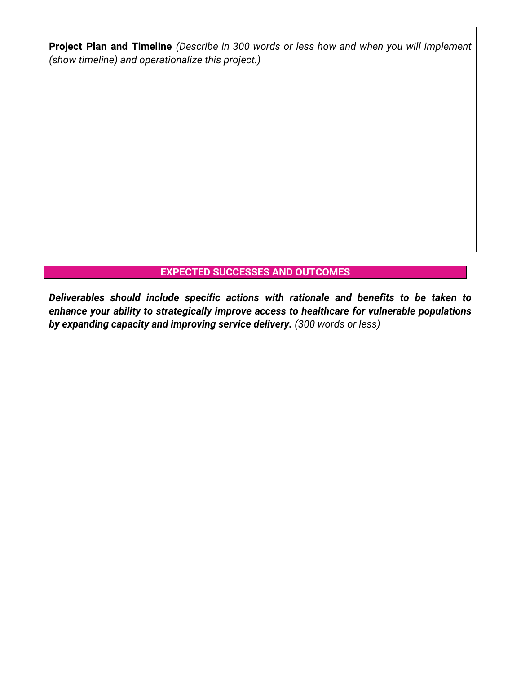**Project Plan and Timeline** *(Describe in 300 words or less how and when you will implement (show timeline) and operationalize this project.)*

# **EXPECTED SUCCESSES AND OUTCOMES**

*Deliverables should include specific actions with rationale and benefits to be taken to enhance your ability to strategically improve access to healthcare for vulnerable populations by expanding capacity and improving service delivery. (300 words or less)*